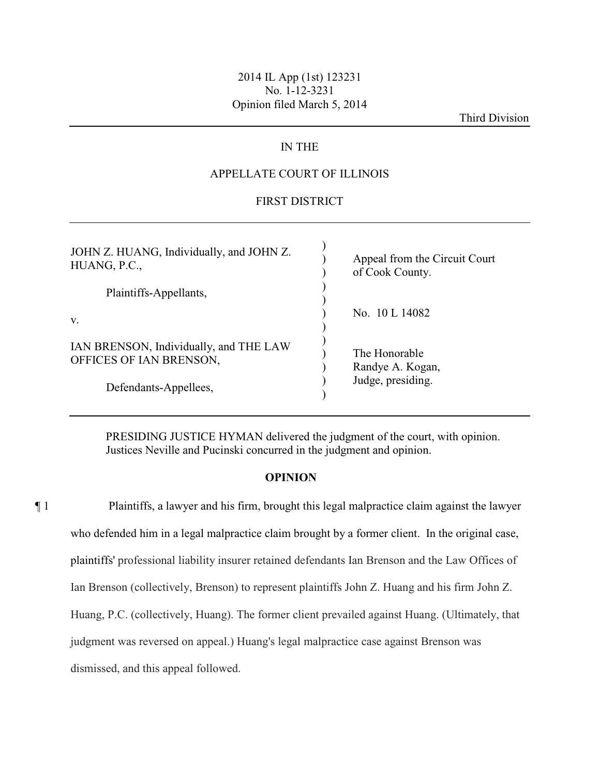## 2014 IL App (1st) 123231 No. 1-12-3231 Opinion filed March 5, 2014

Third Division

# IN THE

## APPELLATE COURT OF ILLINOIS

# FIRST DISTRICT

| JOHN Z. HUANG, Individually, and JOHN Z.<br>HUANG, P.C.,          | Appeal from the Circuit Court<br>of Cook County. |
|-------------------------------------------------------------------|--------------------------------------------------|
| Plaintiffs-Appellants,                                            |                                                  |
| V.                                                                | No. 10 L 14082                                   |
| IAN BRENSON, Individually, and THE LAW<br>OFFICES OF IAN BRENSON, | The Honorable<br>Randye A. Kogan,                |
| Defendants-Appellees,                                             | Judge, presiding.                                |

PRESIDING JUSTICE HYMAN delivered the judgment of the court, with opinion. Justices Neville and Pucinski concurred in the judgment and opinion.

### **OPINION**

¶ 1 Plaintiffs, a lawyer and his firm, brought this legal malpractice claim against the lawyer who defended him in a legal malpractice claim brought by a former client. In the original case, plaintiffs' professional liability insurer retained defendants Ian Brenson and the Law Offices of Ian Brenson (collectively, Brenson) to represent plaintiffs John Z. Huang and his firm John Z. Huang, P.C. (collectively, Huang). The former client prevailed against Huang. (Ultimately, that judgment was reversed on appeal.) Huang's legal malpractice case against Brenson was dismissed, and this appeal followed.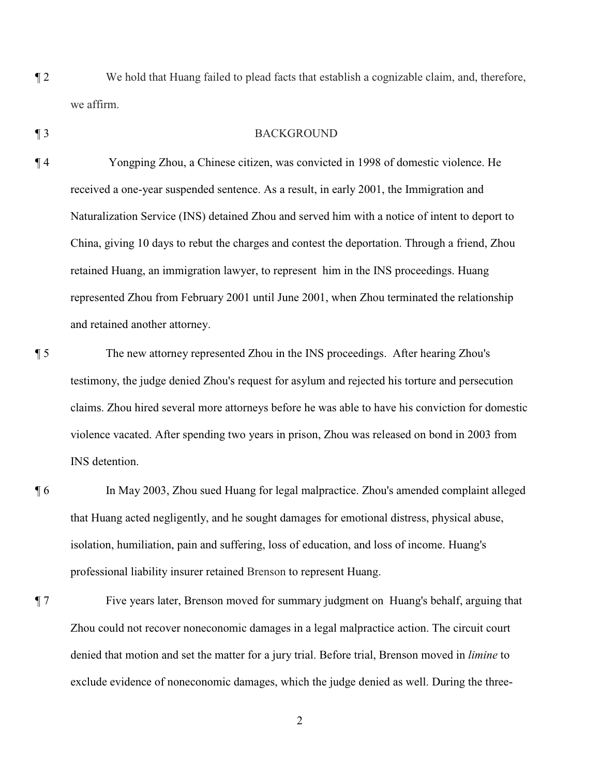- ¶ 2 We hold that Huang failed to plead facts that establish a cognizable claim, and, therefore, we affirm.
- 

### ¶ 3 BACKGROUND

- ¶ 4 Yongping Zhou, a Chinese citizen, was convicted in 1998 of domestic violence. He received a one-year suspended sentence. As a result, in early 2001, the Immigration and Naturalization Service (INS) detained Zhou and served him with a notice of intent to deport to China, giving 10 days to rebut the charges and contest the deportation. Through a friend, Zhou retained Huang, an immigration lawyer, to represent him in the INS proceedings. Huang represented Zhou from February 2001 until June 2001, when Zhou terminated the relationship and retained another attorney.
- ¶ 5 The new attorney represented Zhou in the INS proceedings. After hearing Zhou's testimony, the judge denied Zhou's request for asylum and rejected his torture and persecution claims. Zhou hired several more attorneys before he was able to have his conviction for domestic violence vacated. After spending two years in prison, Zhou was released on bond in 2003 from INS detention.
- ¶ 6 In May 2003, Zhou sued Huang for legal malpractice. Zhou's amended complaint alleged that Huang acted negligently, and he sought damages for emotional distress, physical abuse, isolation, humiliation, pain and suffering, loss of education, and loss of income. Huang's professional liability insurer retained Brenson to represent Huang.
- ¶ 7 Five years later, Brenson moved for summary judgment on Huang's behalf, arguing that Zhou could not recover noneconomic damages in a legal malpractice action. The circuit court denied that motion and set the matter for a jury trial. Before trial, Brenson moved in *limine* to exclude evidence of noneconomic damages, which the judge denied as well. During the three-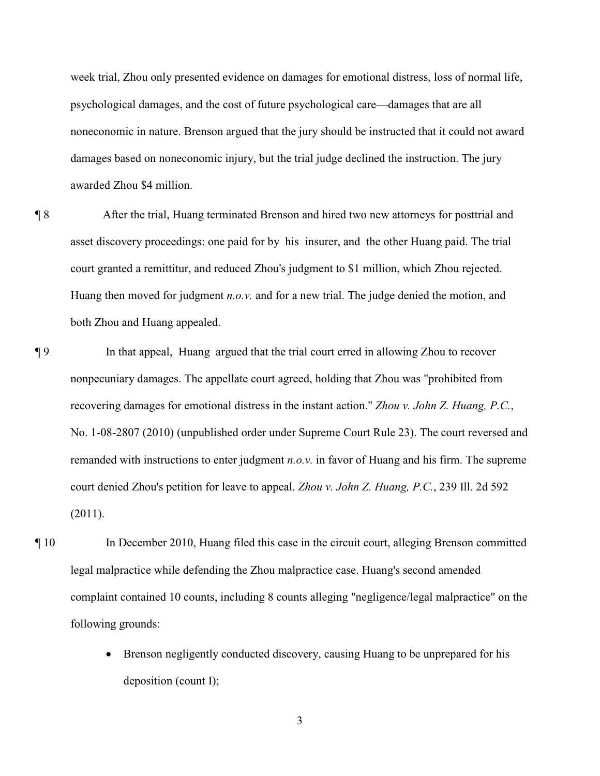week trial, Zhou only presented evidence on damages for emotional distress, loss of normal life, psychological damages, and the cost of future psychological care—damages that are all noneconomic in nature. Brenson argued that the jury should be instructed that it could not award damages based on noneconomic injury, but the trial judge declined the instruction. The jury awarded Zhou \$4 million.

¶ 8 After the trial, Huang terminated Brenson and hired two new attorneys for posttrial and asset discovery proceedings: one paid for by his insurer, and the other Huang paid. The trial court granted a remittitur, and reduced Zhou's judgment to \$1 million, which Zhou rejected. Huang then moved for judgment *n.o.v.* and for a new trial. The judge denied the motion, and both Zhou and Huang appealed.

- ¶ 9 In that appeal, Huang argued that the trial court erred in allowing Zhou to recover nonpecuniary damages. The appellate court agreed, holding that Zhou was "prohibited from recovering damages for emotional distress in the instant action." *Zhou v. John Z. Huang, P.C.*, No. 1-08-2807 (2010) (unpublished order under Supreme Court Rule 23). The court reversed and remanded with instructions to enter judgment *n.o.v.* in favor of Huang and his firm. The supreme court denied Zhou's petition for leave to appeal. *Zhou v. John Z. Huang, P.C.*, 239 Ill. 2d 592 (2011).
- ¶ 10 In December 2010, Huang filed this case in the circuit court, alleging Brenson committed legal malpractice while defending the Zhou malpractice case. Huang's second amended complaint contained 10 counts, including 8 counts alleging "negligence/legal malpractice" on the following grounds:
	- Brenson negligently conducted discovery, causing Huang to be unprepared for his deposition (count I);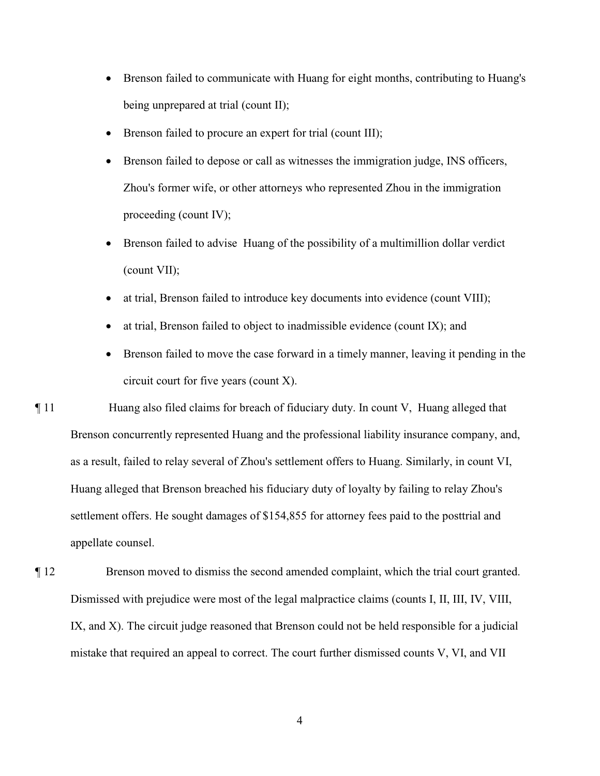- Brenson failed to communicate with Huang for eight months, contributing to Huang's being unprepared at trial (count II);
- Brenson failed to procure an expert for trial (count III);
- Brenson failed to depose or call as witnesses the immigration judge, INS officers, Zhou's former wife, or other attorneys who represented Zhou in the immigration proceeding (count IV);
- Brenson failed to advise Huang of the possibility of a multimillion dollar verdict (count VII);
- at trial, Brenson failed to introduce key documents into evidence (count VIII);
- at trial, Brenson failed to object to inadmissible evidence (count IX); and
- Brenson failed to move the case forward in a timely manner, leaving it pending in the circuit court for five years (count X).

¶ 11 Huang also filed claims for breach of fiduciary duty. In count V, Huang alleged that Brenson concurrently represented Huang and the professional liability insurance company, and, as a result, failed to relay several of Zhou's settlement offers to Huang. Similarly, in count VI, Huang alleged that Brenson breached his fiduciary duty of loyalty by failing to relay Zhou's settlement offers. He sought damages of \$154,855 for attorney fees paid to the posttrial and appellate counsel.

¶ 12 Brenson moved to dismiss the second amended complaint, which the trial court granted. Dismissed with prejudice were most of the legal malpractice claims (counts I, II, III, IV, VIII, IX, and X). The circuit judge reasoned that Brenson could not be held responsible for a judicial mistake that required an appeal to correct. The court further dismissed counts V, VI, and VII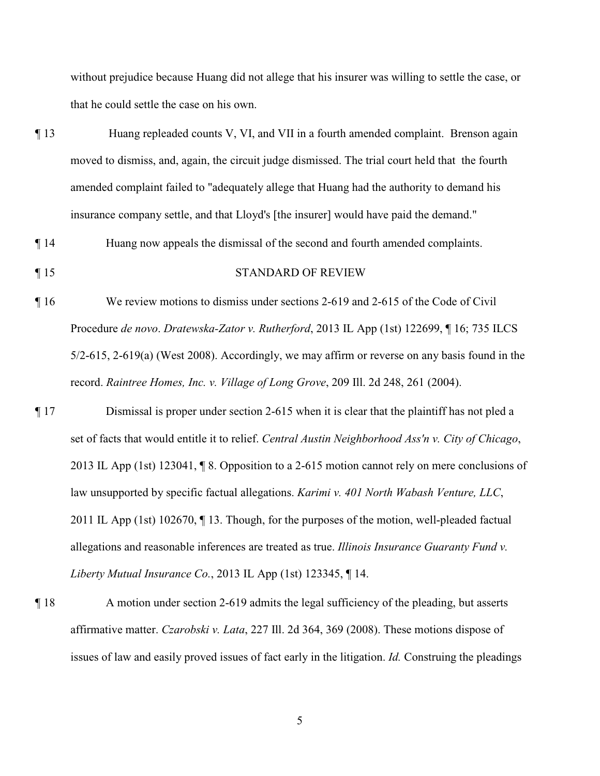without prejudice because Huang did not allege that his insurer was willing to settle the case, or that he could settle the case on his own.

¶ 13 Huang repleaded counts V, VI, and VII in a fourth amended complaint. Brenson again moved to dismiss, and, again, the circuit judge dismissed. The trial court held that the fourth amended complaint failed to "adequately allege that Huang had the authority to demand his insurance company settle, and that Lloyd's [the insurer] would have paid the demand."

¶ 14 Huang now appeals the dismissal of the second and fourth amended complaints.

¶ 15 STANDARD OF REVIEW

- ¶ 16 We review motions to dismiss under sections 2-619 and 2-615 of the Code of Civil Procedure *de novo*. *Dratewska-Zator v. Rutherford*, 2013 IL App (1st) 122699, ¶ 16; 735 ILCS 5/2-615, 2-619(a) (West 2008). Accordingly, we may affirm or reverse on any basis found in the record. *Raintree Homes, Inc. v. Village of Long Grove*, 209 Ill. 2d 248, 261 (2004).
- ¶ 17 Dismissal is proper under section 2-615 when it is clear that the plaintiff has not pled a set of facts that would entitle it to relief. *Central Austin Neighborhood Ass'n v. City of Chicago*, 2013 IL App (1st) 123041, ¶ 8. Opposition to a 2-615 motion cannot rely on mere conclusions of law unsupported by specific factual allegations. *Karimi v. 401 North Wabash Venture, LLC*, 2011 IL App (1st) 102670, ¶ 13. Though, for the purposes of the motion, well-pleaded factual allegations and reasonable inferences are treated as true. *Illinois Insurance Guaranty Fund v. Liberty Mutual Insurance Co.*, 2013 IL App (1st) 123345, ¶ 14.
- ¶ 18 A motion under section 2-619 admits the legal sufficiency of the pleading, but asserts affirmative matter. *Czarobski v. Lata*, 227 Ill. 2d 364, 369 (2008). These motions dispose of issues of law and easily proved issues of fact early in the litigation. *Id.* Construing the pleadings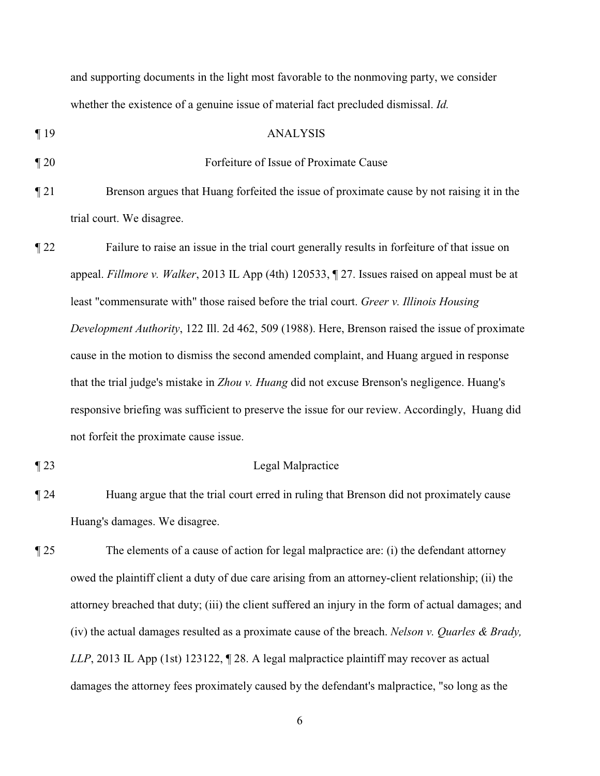and supporting documents in the light most favorable to the nonmoving party, we consider whether the existence of a genuine issue of material fact precluded dismissal. *Id.*

#### ¶ 19 ANALYSIS

## ¶ 20 Forfeiture of Issue of Proximate Cause

- ¶ 21 Brenson argues that Huang forfeited the issue of proximate cause by not raising it in the trial court. We disagree.
- ¶ 22 Failure to raise an issue in the trial court generally results in forfeiture of that issue on appeal. *Fillmore v. Walker*, 2013 IL App (4th) 120533, ¶ 27. Issues raised on appeal must be at least "commensurate with" those raised before the trial court. *Greer v. Illinois Housing Development Authority*, 122 Ill. 2d 462, 509 (1988). Here, Brenson raised the issue of proximate cause in the motion to dismiss the second amended complaint, and Huang argued in response that the trial judge's mistake in *Zhou v. Huang* did not excuse Brenson's negligence. Huang's responsive briefing was sufficient to preserve the issue for our review. Accordingly, Huang did not forfeit the proximate cause issue.

### ¶ 23 Legal Malpractice

- ¶ 24 Huang argue that the trial court erred in ruling that Brenson did not proximately cause Huang's damages. We disagree.
- ¶ 25 The elements of a cause of action for legal malpractice are: (i) the defendant attorney owed the plaintiff client a duty of due care arising from an attorney-client relationship; (ii) the attorney breached that duty; (iii) the client suffered an injury in the form of actual damages; and (iv) the actual damages resulted as a proximate cause of the breach. *Nelson v. Quarles & Brady, LLP*, 2013 IL App (1st) 123122, ¶ 28. A legal malpractice plaintiff may recover as actual damages the attorney fees proximately caused by the defendant's malpractice, "so long as the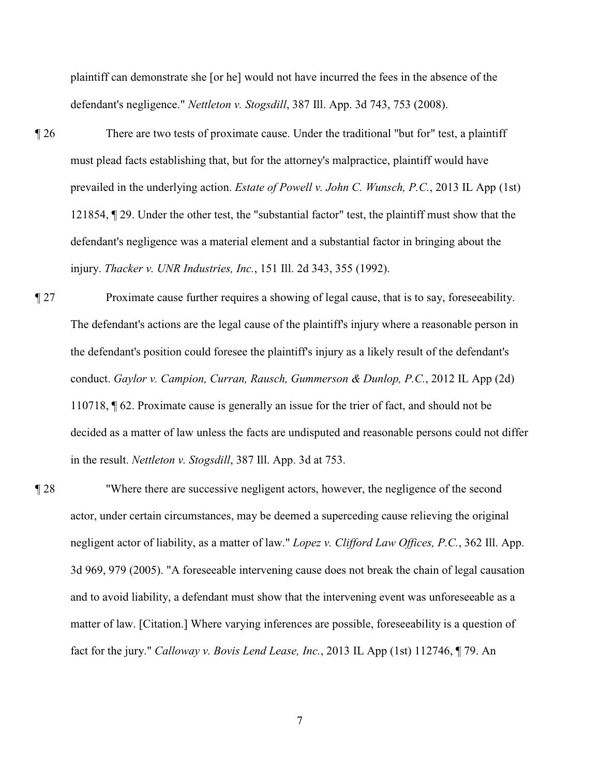plaintiff can demonstrate she [or he] would not have incurred the fees in the absence of the defendant's negligence." *Nettleton v. Stogsdill*, 387 Ill. App. 3d 743, 753 (2008).

- ¶ 26 There are two tests of proximate cause. Under the traditional "but for" test, a plaintiff must plead facts establishing that, but for the attorney's malpractice, plaintiff would have prevailed in the underlying action. *Estate of Powell v. John C. Wunsch, P.C.*, 2013 IL App (1st) 121854, ¶ 29. Under the other test, the "substantial factor" test, the plaintiff must show that the defendant's negligence was a material element and a substantial factor in bringing about the injury. *Thacker v. UNR Industries, Inc.*, 151 Ill. 2d 343, 355 (1992).
- ¶ 27 Proximate cause further requires a showing of legal cause, that is to say, foreseeability. The defendant's actions are the legal cause of the plaintiff's injury where a reasonable person in the defendant's position could foresee the plaintiff's injury as a likely result of the defendant's conduct. *Gaylor v. Campion, Curran, Rausch, Gummerson & Dunlop, P.C.*, 2012 IL App (2d) 110718, ¶ 62. Proximate cause is generally an issue for the trier of fact, and should not be decided as a matter of law unless the facts are undisputed and reasonable persons could not differ in the result. *Nettleton v. Stogsdill*, 387 Ill. App. 3d at 753.
- ¶ 28 "Where there are successive negligent actors, however, the negligence of the second actor, under certain circumstances, may be deemed a superceding cause relieving the original negligent actor of liability, as a matter of law." *Lopez v. Clifford Law Offices, P.C.*, 362 Ill. App. 3d 969, 979 (2005). "A foreseeable intervening cause does not break the chain of legal causation and to avoid liability, a defendant must show that the intervening event was unforeseeable as a matter of law. [Citation.] Where varying inferences are possible, foreseeability is a question of fact for the jury." *Calloway v. Bovis Lend Lease, Inc.*, 2013 IL App (1st) 112746, ¶ 79. An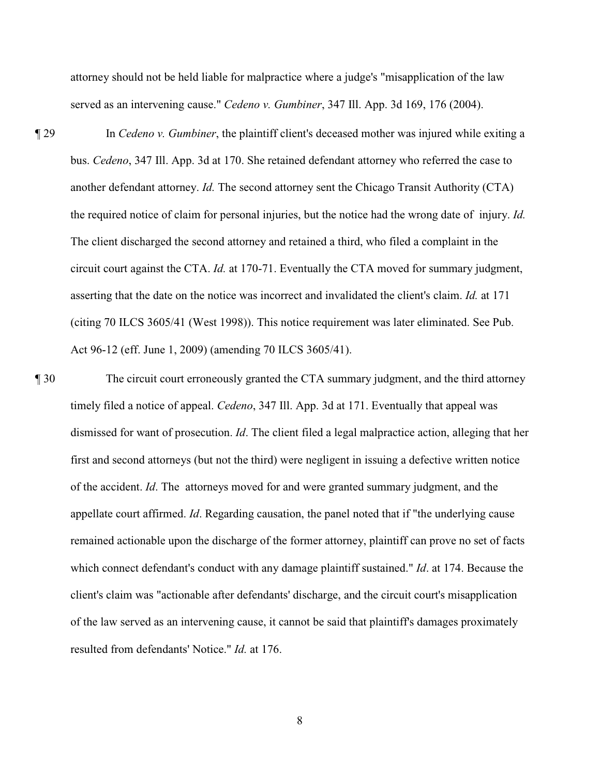attorney should not be held liable for malpractice where a judge's "misapplication of the law served as an intervening cause." *Cedeno v. Gumbiner*, 347 Ill. App. 3d 169, 176 (2004).

- ¶ 29 In *Cedeno v. Gumbiner*, the plaintiff client's deceased mother was injured while exiting a bus. *Cedeno*, 347 Ill. App. 3d at 170. She retained defendant attorney who referred the case to another defendant attorney. *Id.* The second attorney sent the Chicago Transit Authority (CTA) the required notice of claim for personal injuries, but the notice had the wrong date of injury. *Id.* The client discharged the second attorney and retained a third, who filed a complaint in the circuit court against the CTA. *Id.* at 170-71. Eventually the CTA moved for summary judgment, asserting that the date on the notice was incorrect and invalidated the client's claim. *Id.* at 171 (citing 70 ILCS 3605/41 (West 1998)). This notice requirement was later eliminated. See Pub. Act 96-12 (eff. June 1, 2009) (amending 70 ILCS 3605/41).
- ¶ 30 The circuit court erroneously granted the CTA summary judgment, and the third attorney timely filed a notice of appeal. *Cedeno*, 347 Ill. App. 3d at 171. Eventually that appeal was dismissed for want of prosecution. *Id*. The client filed a legal malpractice action, alleging that her first and second attorneys (but not the third) were negligent in issuing a defective written notice of the accident. *Id*. The attorneys moved for and were granted summary judgment, and the appellate court affirmed. *Id*. Regarding causation, the panel noted that if "the underlying cause remained actionable upon the discharge of the former attorney, plaintiff can prove no set of facts which connect defendant's conduct with any damage plaintiff sustained." *Id*. at 174. Because the client's claim was "actionable after defendants' discharge, and the circuit court's misapplication of the law served as an intervening cause, it cannot be said that plaintiff's damages proximately resulted from defendants' Notice." *Id.* at 176.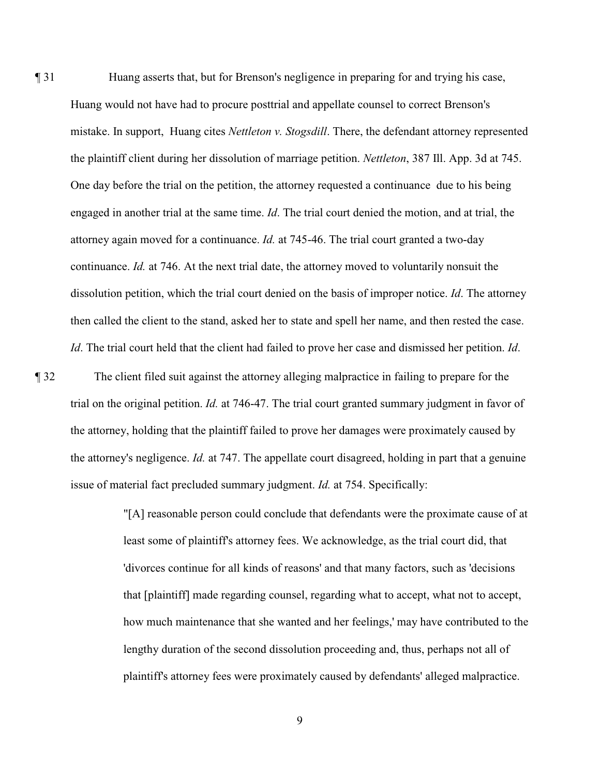¶ 31 Huang asserts that, but for Brenson's negligence in preparing for and trying his case, Huang would not have had to procure posttrial and appellate counsel to correct Brenson's mistake. In support, Huang cites *Nettleton v. Stogsdill*. There, the defendant attorney represented the plaintiff client during her dissolution of marriage petition. *Nettleton*, 387 Ill. App. 3d at 745. One day before the trial on the petition, the attorney requested a continuance due to his being engaged in another trial at the same time. *Id*. The trial court denied the motion, and at trial, the attorney again moved for a continuance. *Id.* at 745-46. The trial court granted a two-day continuance. *Id.* at 746. At the next trial date, the attorney moved to voluntarily nonsuit the dissolution petition, which the trial court denied on the basis of improper notice. *Id*. The attorney then called the client to the stand, asked her to state and spell her name, and then rested the case. *Id*. The trial court held that the client had failed to prove her case and dismissed her petition. *Id*.

¶ 32 The client filed suit against the attorney alleging malpractice in failing to prepare for the trial on the original petition. *Id.* at 746-47. The trial court granted summary judgment in favor of the attorney, holding that the plaintiff failed to prove her damages were proximately caused by the attorney's negligence. *Id.* at 747. The appellate court disagreed, holding in part that a genuine issue of material fact precluded summary judgment. *Id.* at 754. Specifically:

> "[A] reasonable person could conclude that defendants were the proximate cause of at least some of plaintiff's attorney fees. We acknowledge, as the trial court did, that 'divorces continue for all kinds of reasons' and that many factors, such as 'decisions that [plaintiff] made regarding counsel, regarding what to accept, what not to accept, how much maintenance that she wanted and her feelings,' may have contributed to the lengthy duration of the second dissolution proceeding and, thus, perhaps not all of plaintiff's attorney fees were proximately caused by defendants' alleged malpractice.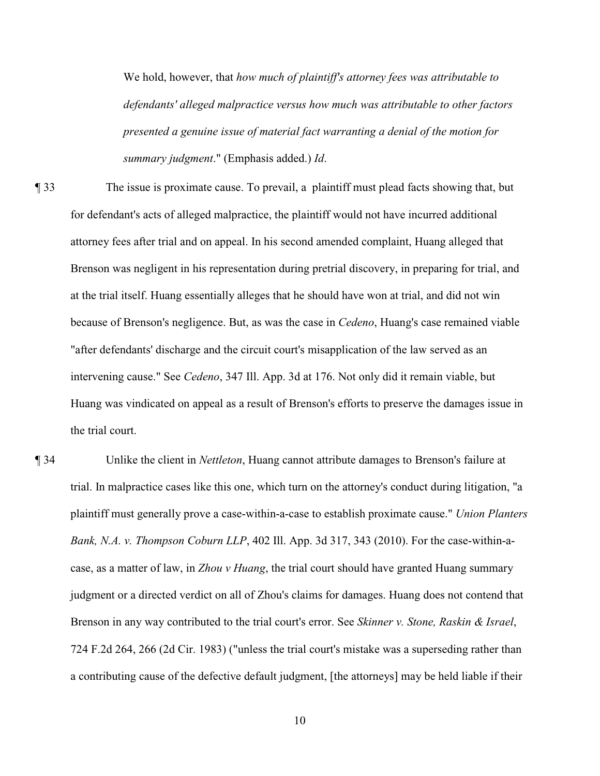We hold, however, that *how much of plaintiff's attorney fees was attributable to defendants' alleged malpractice versus how much was attributable to other factors presented a genuine issue of material fact warranting a denial of the motion for summary judgment*." (Emphasis added.) *Id*.

¶ 33 The issue is proximate cause. To prevail, a plaintiff must plead facts showing that, but for defendant's acts of alleged malpractice, the plaintiff would not have incurred additional attorney fees after trial and on appeal. In his second amended complaint, Huang alleged that Brenson was negligent in his representation during pretrial discovery, in preparing for trial, and at the trial itself. Huang essentially alleges that he should have won at trial, and did not win because of Brenson's negligence. But, as was the case in *Cedeno*, Huang's case remained viable "after defendants' discharge and the circuit court's misapplication of the law served as an intervening cause." See *Cedeno*, 347 Ill. App. 3d at 176. Not only did it remain viable, but Huang was vindicated on appeal as a result of Brenson's efforts to preserve the damages issue in the trial court.

¶ 34 Unlike the client in *Nettleton*, Huang cannot attribute damages to Brenson's failure at trial. In malpractice cases like this one, which turn on the attorney's conduct during litigation, "a plaintiff must generally prove a case-within-a-case to establish proximate cause." *Union Planters Bank, N.A. v. Thompson Coburn LLP*, 402 Ill. App. 3d 317, 343 (2010). For the case-within-acase, as a matter of law, in *Zhou v Huang*, the trial court should have granted Huang summary judgment or a directed verdict on all of Zhou's claims for damages. Huang does not contend that Brenson in any way contributed to the trial court's error. See *Skinner v. Stone, Raskin & Israel*, 724 F.2d 264, 266 (2d Cir. 1983) ("unless the trial court's mistake was a superseding rather than a contributing cause of the defective default judgment, [the attorneys] may be held liable if their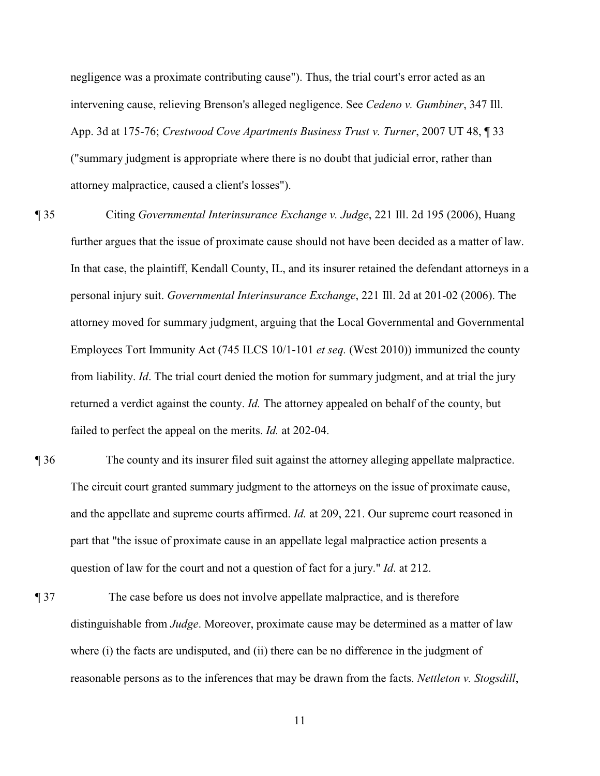negligence was a proximate contributing cause"). Thus, the trial court's error acted as an intervening cause, relieving Brenson's alleged negligence. See *Cedeno v. Gumbiner*, 347 Ill. App. 3d at 175-76; *Crestwood Cove Apartments Business Trust v. Turner*, 2007 UT 48, ¶ 33 ("summary judgment is appropriate where there is no doubt that judicial error, rather than attorney malpractice, caused a client's losses").

- ¶ 35 Citing *Governmental Interinsurance Exchange v. Judge*, 221 Ill. 2d 195 (2006), Huang further argues that the issue of proximate cause should not have been decided as a matter of law. In that case, the plaintiff, Kendall County, IL, and its insurer retained the defendant attorneys in a personal injury suit. *Governmental Interinsurance Exchange*, 221 Ill. 2d at 201-02 (2006). The attorney moved for summary judgment, arguing that the Local Governmental and Governmental Employees Tort Immunity Act (745 ILCS 10/1-101 *et seq.* (West 2010)) immunized the county from liability. *Id*. The trial court denied the motion for summary judgment, and at trial the jury returned a verdict against the county. *Id.* The attorney appealed on behalf of the county, but failed to perfect the appeal on the merits. *Id.* at 202-04.
- ¶ 36 The county and its insurer filed suit against the attorney alleging appellate malpractice. The circuit court granted summary judgment to the attorneys on the issue of proximate cause, and the appellate and supreme courts affirmed. *Id.* at 209, 221. Our supreme court reasoned in part that "the issue of proximate cause in an appellate legal malpractice action presents a question of law for the court and not a question of fact for a jury." *Id*. at 212.
- ¶ 37 The case before us does not involve appellate malpractice, and is therefore distinguishable from *Judge*. Moreover, proximate cause may be determined as a matter of law where (i) the facts are undisputed, and (ii) there can be no difference in the judgment of reasonable persons as to the inferences that may be drawn from the facts. *Nettleton v. Stogsdill*,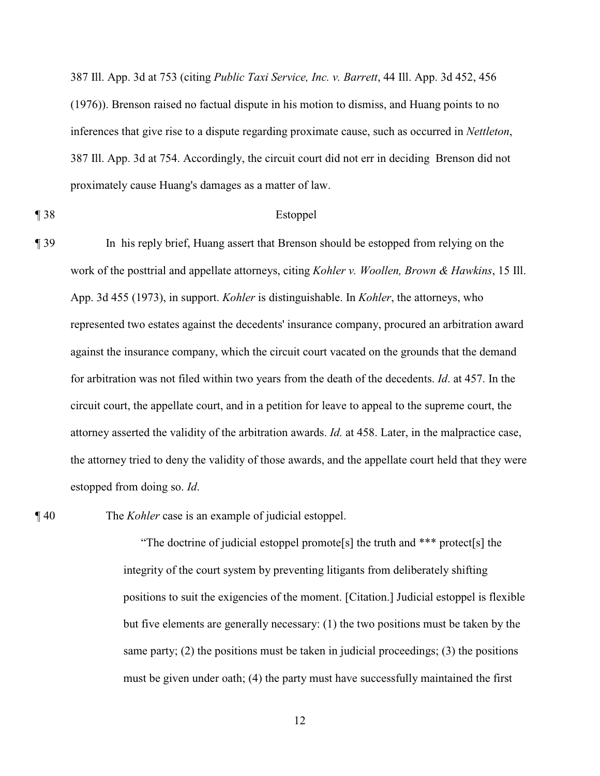387 Ill. App. 3d at 753 (citing *Public Taxi Service, Inc. v. Barrett*, 44 Ill. App. 3d 452, 456 (1976)). Brenson raised no factual dispute in his motion to dismiss, and Huang points to no inferences that give rise to a dispute regarding proximate cause, such as occurred in *Nettleton*, 387 Ill. App. 3d at 754. Accordingly, the circuit court did not err in deciding Brenson did not proximately cause Huang's damages as a matter of law.

#### ¶ 38 Estoppel

¶ 39 In his reply brief, Huang assert that Brenson should be estopped from relying on the work of the posttrial and appellate attorneys, citing *Kohler v. Woollen, Brown & Hawkins*, 15 Ill. App. 3d 455 (1973), in support. *Kohler* is distinguishable. In *Kohler*, the attorneys, who represented two estates against the decedents' insurance company, procured an arbitration award against the insurance company, which the circuit court vacated on the grounds that the demand for arbitration was not filed within two years from the death of the decedents. *Id*. at 457. In the circuit court, the appellate court, and in a petition for leave to appeal to the supreme court, the attorney asserted the validity of the arbitration awards. *Id.* at 458. Later, in the malpractice case, the attorney tried to deny the validity of those awards, and the appellate court held that they were estopped from doing so. *Id*.

¶ 40 The *Kohler* case is an example of judicial estoppel.

"The doctrine of judicial estoppel promote[s] the truth and \*\*\* protect[s] the integrity of the court system by preventing litigants from deliberately shifting positions to suit the exigencies of the moment. [Citation.] Judicial estoppel is flexible but five elements are generally necessary: (1) the two positions must be taken by the same party; (2) the positions must be taken in judicial proceedings; (3) the positions must be given under oath; (4) the party must have successfully maintained the first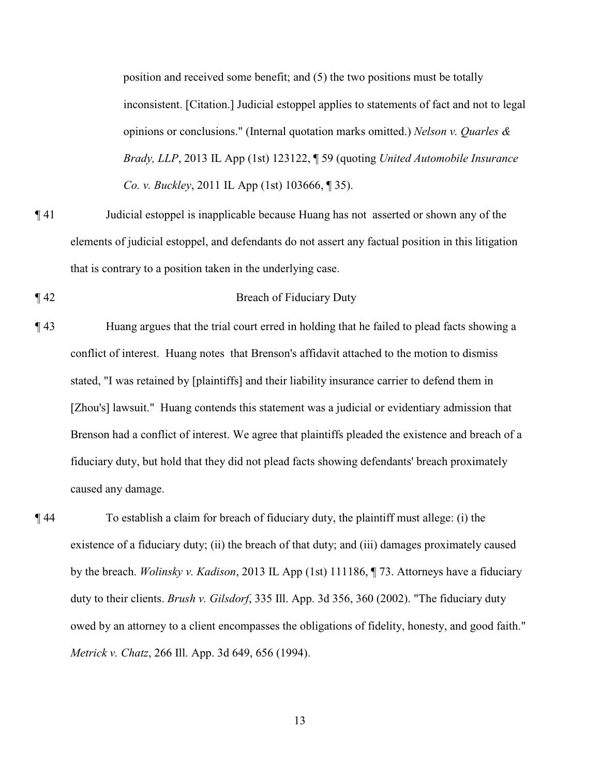position and received some benefit; and (5) the two positions must be totally inconsistent. [Citation.] Judicial estoppel applies to statements of fact and not to legal opinions or conclusions." (Internal quotation marks omitted.) *Nelson v. Quarles & Brady, LLP*, 2013 IL App (1st) 123122, ¶ 59 (quoting *United Automobile Insurance Co. v. Buckley*, 2011 IL App (1st) 103666, ¶ 35).

- ¶ 41 Judicial estoppel is inapplicable because Huang has not asserted or shown any of the elements of judicial estoppel, and defendants do not assert any factual position in this litigation that is contrary to a position taken in the underlying case.
- ¶ 42 Breach of Fiduciary Duty
- ¶ 43 Huang argues that the trial court erred in holding that he failed to plead facts showing a conflict of interest. Huang notes that Brenson's affidavit attached to the motion to dismiss stated, "I was retained by [plaintiffs] and their liability insurance carrier to defend them in [Zhou's] lawsuit." Huang contends this statement was a judicial or evidentiary admission that Brenson had a conflict of interest. We agree that plaintiffs pleaded the existence and breach of a fiduciary duty, but hold that they did not plead facts showing defendants' breach proximately caused any damage.
- ¶ 44 To establish a claim for breach of fiduciary duty, the plaintiff must allege: (i) the existence of a fiduciary duty; (ii) the breach of that duty; and (iii) damages proximately caused by the breach. *Wolinsky v. Kadison*, 2013 IL App (1st) 111186, ¶ 73. Attorneys have a fiduciary duty to their clients. *Brush v. Gilsdorf*, 335 Ill. App. 3d 356, 360 (2002). "The fiduciary duty owed by an attorney to a client encompasses the obligations of fidelity, honesty, and good faith." *Metrick v. Chatz*, 266 Ill. App. 3d 649, 656 (1994).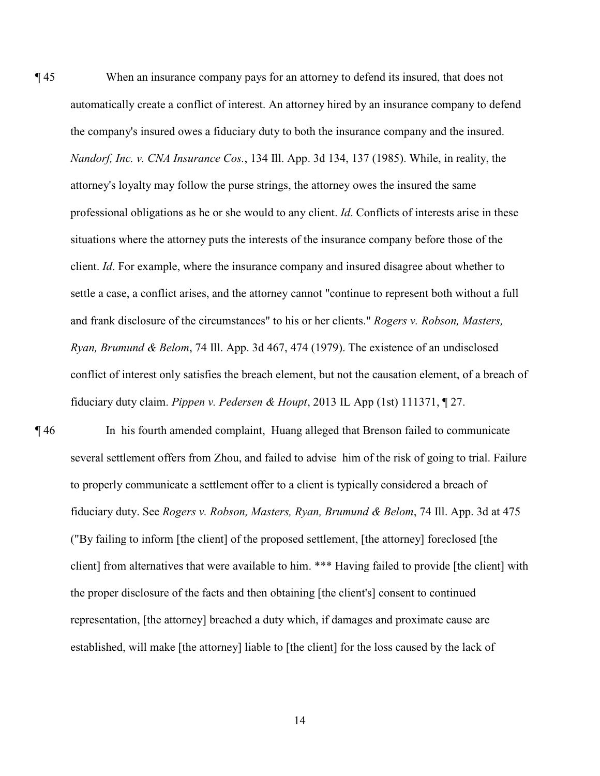¶ 45 When an insurance company pays for an attorney to defend its insured, that does not automatically create a conflict of interest. An attorney hired by an insurance company to defend the company's insured owes a fiduciary duty to both the insurance company and the insured. *Nandorf, Inc. v. CNA Insurance Cos.*, 134 Ill. App. 3d 134, 137 (1985). While, in reality, the attorney's loyalty may follow the purse strings, the attorney owes the insured the same professional obligations as he or she would to any client. *Id*. Conflicts of interests arise in these situations where the attorney puts the interests of the insurance company before those of the client. *Id*. For example, where the insurance company and insured disagree about whether to settle a case, a conflict arises, and the attorney cannot "continue to represent both without a full and frank disclosure of the circumstances" to his or her clients." *Rogers v. Robson, Masters, Ryan, Brumund & Belom*, 74 Ill. App. 3d 467, 474 (1979). The existence of an undisclosed conflict of interest only satisfies the breach element, but not the causation element, of a breach of fiduciary duty claim. *Pippen v. Pedersen & Houpt*, 2013 IL App (1st) 111371, ¶ 27.

¶ 46 In his fourth amended complaint, Huang alleged that Brenson failed to communicate several settlement offers from Zhou, and failed to advise him of the risk of going to trial. Failure to properly communicate a settlement offer to a client is typically considered a breach of fiduciary duty. See *Rogers v. Robson, Masters, Ryan, Brumund & Belom*, 74 Ill. App. 3d at 475 ("By failing to inform [the client] of the proposed settlement, [the attorney] foreclosed [the client] from alternatives that were available to him. \*\*\* Having failed to provide [the client] with the proper disclosure of the facts and then obtaining [the client's] consent to continued representation, [the attorney] breached a duty which, if damages and proximate cause are established, will make [the attorney] liable to [the client] for the loss caused by the lack of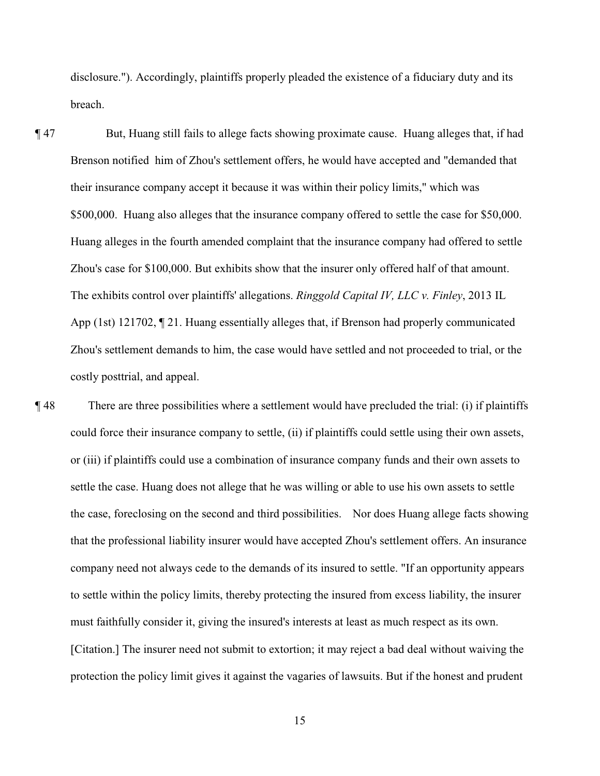disclosure."). Accordingly, plaintiffs properly pleaded the existence of a fiduciary duty and its breach.

¶ 47 But, Huang still fails to allege facts showing proximate cause. Huang alleges that, if had Brenson notified him of Zhou's settlement offers, he would have accepted and "demanded that their insurance company accept it because it was within their policy limits," which was \$500,000. Huang also alleges that the insurance company offered to settle the case for \$50,000. Huang alleges in the fourth amended complaint that the insurance company had offered to settle Zhou's case for \$100,000. But exhibits show that the insurer only offered half of that amount. The exhibits control over plaintiffs' allegations. *Ringgold Capital IV, LLC v. Finley*, 2013 IL App (1st) 121702, ¶ 21. Huang essentially alleges that, if Brenson had properly communicated Zhou's settlement demands to him, the case would have settled and not proceeded to trial, or the costly posttrial, and appeal.

¶ 48 There are three possibilities where a settlement would have precluded the trial: (i) if plaintiffs could force their insurance company to settle, (ii) if plaintiffs could settle using their own assets, or (iii) if plaintiffs could use a combination of insurance company funds and their own assets to settle the case. Huang does not allege that he was willing or able to use his own assets to settle the case, foreclosing on the second and third possibilities. Nor does Huang allege facts showing that the professional liability insurer would have accepted Zhou's settlement offers. An insurance company need not always cede to the demands of its insured to settle. "If an opportunity appears to settle within the policy limits, thereby protecting the insured from excess liability, the insurer must faithfully consider it, giving the insured's interests at least as much respect as its own. [Citation.] The insurer need not submit to extortion; it may reject a bad deal without waiving the protection the policy limit gives it against the vagaries of lawsuits. But if the honest and prudent